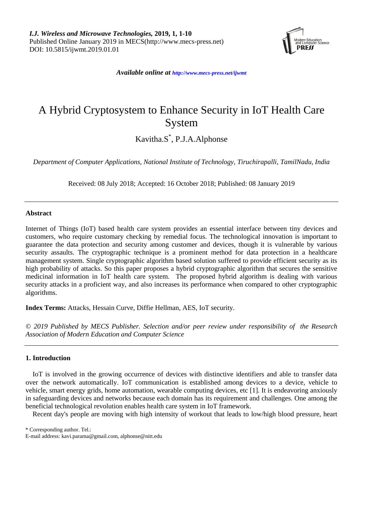

*Available online at <http://www.mecs-press.net/ijwmt>*

# A Hybrid Cryptosystem to Enhance Security in IoT Health Care System

Kavitha.S\* , P.J.A.Alphonse

*Department of Computer Applications, National Institute of Technology, Tiruchirapalli, TamilNadu, India*

Received: 08 July 2018; Accepted: 16 October 2018; Published: 08 January 2019

## **Abstract**

Internet of Things (IoT) based health care system provides an essential interface between tiny devices and customers, who require customary checking by remedial focus. The technological innovation is important to guarantee the data protection and security among customer and devices, though it is vulnerable by various security assaults. The cryptographic technique is a prominent method for data protection in a healthcare management system. Single cryptographic algorithm based solution suffered to provide efficient security as its high probability of attacks. So this paper proposes a hybrid cryptographic algorithm that secures the sensitive medicinal information in IoT health care system. The proposed hybrid algorithm is dealing with various security attacks in a proficient way, and also increases its performance when compared to other cryptographic algorithms.

**Index Terms:** Attacks, Hessain Curve, Diffie Hellman, AES, IoT security.

*© 2019 Published by MECS Publisher. Selection and/or peer review under responsibility of the Research Association of Modern Education and Computer Science*

## **1. Introduction**

IoT is involved in the growing occurrence of devices with distinctive identifiers and able to transfer data over the network automatically. IoT communication is established among devices to a device, vehicle to vehicle, smart energy grids, home automation, wearable computing devices, etc [1]. It is endeavoring anxiously in safeguarding devices and networks because each domain has its requirement and challenges. One among the beneficial technological revolution enables health care system in IoT framework.

Recent day's people are moving with high intensity of workout that leads to low/high blood pressure, heart

\* Corresponding author. Tel.:

E-mail address: kavi.parama@gmail.com, alphonse@nitt.edu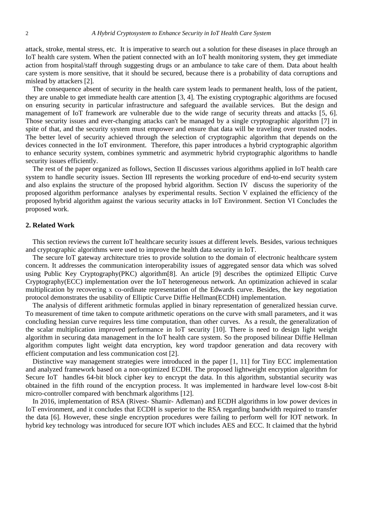attack, stroke, mental stress, etc. It is imperative to search out a solution for these diseases in place through an IoT health care system. When the patient connected with an IoT health monitoring system, they get immediate action from hospital/staff through suggesting drugs or an ambulance to take care of them. Data about health care system is more sensitive, that it should be secured, because there is a probability of data corruptions and mislead by attackers [2].

The consequence absent of security in the health care system leads to permanent health, loss of the patient, they are unable to get immediate health care attention [3, 4]. The existing cryptographic algorithms are focused on ensuring security in particular infrastructure and safeguard the available services. But the design and management of IoT framework are vulnerable due to the wide range of security threats and attacks [5, 6]. Those security issues and ever-changing attacks can't be managed by a single cryptographic algorithm [7] in spite of that, and the security system must empower and ensure that data will be traveling over trusted nodes. The better level of security achieved through the selection of cryptographic algorithm that depends on the devices connected in the IoT environment. Therefore, this paper introduces a hybrid cryptographic algorithm to enhance security system, combines symmetric and asymmetric hybrid cryptographic algorithms to handle security issues efficiently.

The rest of the paper organized as follows, Section II discusses various algorithms applied in IoT health care system to handle security issues. Section III represents the working procedure of end-to-end security system and also explains the structure of the proposed hybrid algorithm. Section IV discuss the superiority of the proposed algorithm performance analyses by experimental results. Section V explained the efficiency of the proposed hybrid algorithm against the various security attacks in IoT Environment. Section VI Concludes the proposed work.

## **2. Related Work**

This section reviews the current IoT healthcare security issues at different levels. Besides, various techniques and cryptographic algorithms were used to improve the health data security in IoT.

The secure IoT gateway architecture tries to provide solution to the domain of electronic healthcare system concern. It addresses the communication interoperability issues of aggregated sensor data which was solved using Public Key Cryptography(PKC) algorithm[8]. An article [9] describes the optimized Elliptic Curve Cryptography(ECC) implementation over the IoT heterogeneous network. An optimization achieved in scalar multiplication by recovering x co-ordinate representation of the Edwards curve. Besides, the key negotiation protocol demonstrates the usability of Elliptic Curve Diffie Hellman(ECDH) implementation.

The analysis of different arithmetic formulas applied in binary representation of generalized hessian curve. To measurement of time taken to compute arithmetic operations on the curve with small parameters, and it was concluding hessian curve requires less time computation, than other curves. As a result, the generalization of the scalar multiplication improved performance in IoT security [10]. There is need to design light weight algorithm in securing data management in the IoT health care system. So the proposed bilinear Diffie Hellman algorithm computes light weight data encryption, key word trapdoor generation and data recovery with efficient computation and less communication cost [2].

Distinctive way management strategies were introduced in the paper [1, 11] for Tiny ECC implementation and analyzed framework based on a non-optimized ECDH. The proposed lightweight encryption algorithm for Secure IoT handles 64-bit block cipher key to encrypt the data. In this algorithm, substantial security was obtained in the fifth round of the encryption process. It was implemented in hardware level low-cost 8-bit micro-controller compared with benchmark algorithms [12].

In 2016, implementation of RSA (Rivest- Shamir- Adleman) and ECDH algorithms in low power devices in IoT environment, and it concludes that ECDH is superior to the RSA regarding bandwidth required to transfer the data [6]. However, these single encryption procedures were failing to perform well for IOT network. In hybrid key technology was introduced for secure IOT which includes AES and ECC. It claimed that the hybrid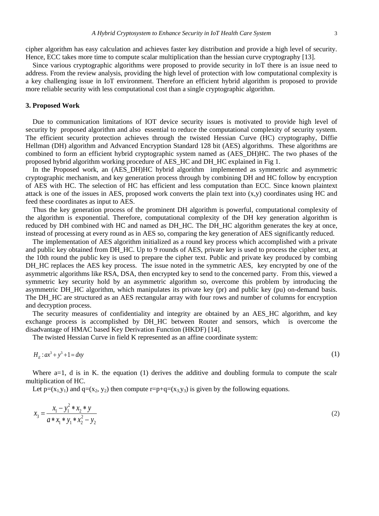cipher algorithm has easy calculation and achieves faster key distribution and provide a high level of security. Hence, ECC takes more time to compute scalar multiplication than the hessian curve cryptography [13].

Since various cryptographic algorithms were proposed to provide security in IoT there is an issue need to address. From the review analysis, providing the high level of protection with low computational complexity is a key challenging issue in IoT environment. Therefore an efficient hybrid algorithm is proposed to provide more reliable security with less computational cost than a single cryptographic algorithm.

#### **3. Proposed Work**

Due to communication limitations of IOT device security issues is motivated to provide high level of security by proposed algorithm and also essential to reduce the computational complexity of security system. The efficient security protection achieves through the twisted Hessian Curve (HC) cryptography, Diffie Hellman (DH) algorithm and Advanced Encryption Standard 128 bit (AES) algorithms. These algorithms are combined to form an efficient hybrid cryptographic system named as (AES\_DH)HC. The two phases of the proposed hybrid algorithm working procedure of AES\_HC and DH\_HC explained in Fig 1.

In the Proposed work, an (AES DH)HC hybrid algorithm implemented as symmetric and asymmetric cryptographic mechanism, and key generation process through by combining DH and HC follow by encryption of AES with HC. The selection of HC has efficient and less computation than ECC. Since known plaintext attack is one of the issues in AES, proposed work converts the plain text into (x,y) coordinates using HC and feed these coordinates as input to AES.

Thus the key generation process of the prominent DH algorithm is powerful, computational complexity of the algorithm is exponential. Therefore, computational complexity of the DH key generation algorithm is reduced by DH combined with HC and named as DH\_HC. The DH\_HC algorithm generates the key at once, instead of processing at every round as in AES so, comparing the key generation of AES significantly reduced.

The implementation of AES algorithm initialized as a round key process which accomplished with a private and public key obtained from DH\_HC. Up to 9 rounds of AES, private key is used to process the cipher text, at the 10th round the public key is used to prepare the cipher text. Public and private key produced by combing DH\_HC replaces the AES key process. The issue noted in the symmetric AES, key encrypted by one of the asymmetric algorithms like RSA, DSA, then encrypted key to send to the concerned party. From this, viewed a symmetric key security hold by an asymmetric algorithm so, overcome this problem by introducing the asymmetric DH\_HC algorithm, which manipulates its private key (pr) and public key (pu) on-demand basis. The DH\_HC are structured as an AES rectangular array with four rows and number of columns for encryption and decryption process.

The security measures of confidentiality and integrity are obtained by an AES\_HC algorithm, and key exchange process is accomplished by DH\_HC between Router and sensors, which is overcome the disadvantage of HMAC based Key Derivation Function (HKDF) [14].

The twisted Hessian Curve in field K represented as an affine coordinate system:

$$
H_E: ax^3 + y^3 + 1 = dx
$$
\n<sup>(1)</sup>

Where a=1, d is in K. the equation (1) derives the additive and doubling formula to compute the scalr multiplication of HC.

Let  $p=(x_1,y_1)$  and  $q=(x_2, y_2)$  then compute  $r=p+q=(x_3,y_3)$  is given by the following equations.

$$
x_3 = \frac{x_1 - y_1^2 * x_2 * y}{a * x_1 * y_1 * x_2^2 - y_2}
$$
 (2)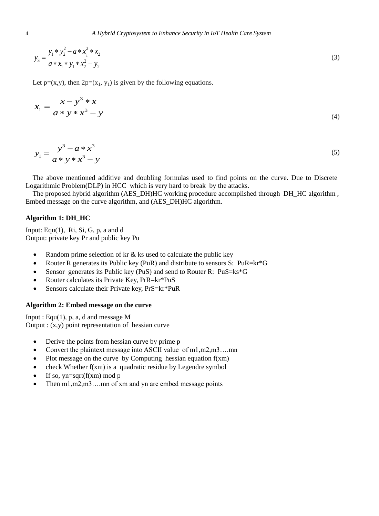$$
y_3 = \frac{y_1 * y_2^2 - a * x_1^2 * x_2}{a * x_1 * y_1 * x_2^2 - y_2}
$$
\n(3)

Let  $p=(x,y)$ , then  $2p=(x_1, y_1)$  is given by the following equations.

$$
x_1 = \frac{x - y^3 * x}{a * y * x^3 - y}
$$
\n(4)

$$
y_1 = \frac{y^3 - a * x^3}{a * y * x^3 - y}
$$
(5)

The above mentioned additive and doubling formulas used to find points on the curve. Due to Discrete Logarithmic Problem(DLP) in HCC which is very hard to break by the attacks.

The proposed hybrid algorithm (AES\_DH)HC working procedure accomplished through DH\_HC algorithm , Embed message on the curve algorithm, and (AES\_DH)HC algorithm.

# **Algorithm 1: DH\_HC**

Input: Equ $(1)$ , Ri, Si, G, p, a and d Output: private key Pr and public key Pu

- Random prime selection of  $kr \&$  ks used to calculate the public key
- Router R generates its Public key (PuR) and distribute to sensors S: PuR=kr\*G
- Sensor generates its Public key (PuS) and send to Router R: PuS=ks\*G
- Router calculates its Private Key, PrR=kr\*PuS
- Sensors calculate their Private key, PrS=kr\*PuR

## **Algorithm 2: Embed message on the curve**

Input : Equ $(1)$ , p, a, d and message M Output :  $(x,y)$  point representation of hessian curve

- Derive the points from hessian curve by prime p
- Convert the plaintext message into ASCII value of m1,m2,m3....mn
- Plot message on the curve by Computing hessian equation f(xm)
- check Whether f(xm) is a quadratic residue by Legendre symbol
- $\bullet$  If so, yn=sqrt(f(xm) mod p
- Then m1,m2,m3….mn of xm and yn are embed message points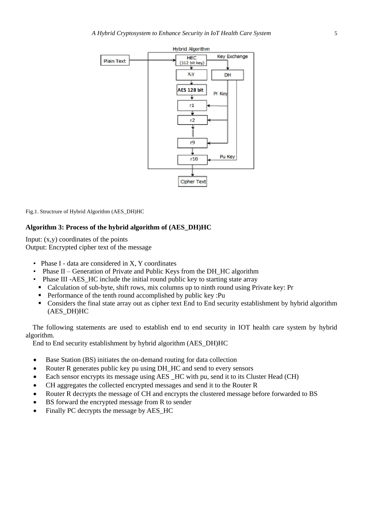

Fig.1. Structrure of Hybrid Algorithm (AES\_DH)HC

#### **Algorithm 3: Process of the hybrid algorithm of (AES\_DH)HC**

Input:  $(x,y)$  coordinates of the points Output: Encrypted cipher text of the message

- Phase I data are considered in X, Y coordinates
- Phase II Generation of Private and Public Keys from the DH HC algorithm
- Phase III -AES\_HC include the initial round public key to starting state array
- Calculation of sub-byte, shift rows, mix columns up to ninth round using Private key: Pr
- **Performance of the tenth round accomplished by public key :Pu**
- Considers the final state array out as cipher text End to End security establishment by hybrid algorithm (AES\_DH)HC

The following statements are used to establish end to end security in IOT health care system by hybrid algorithm.

End to End security establishment by hybrid algorithm (AES\_DH)HC

- Base Station (BS) initiates the on-demand routing for data collection
- Router R generates public key pu using DH\_HC and send to every sensors
- Each sensor encrypts its message using AES \_HC with pu, send it to its Cluster Head (CH)
- CH aggregates the collected encrypted messages and send it to the Router R
- Router R decrypts the message of CH and encrypts the clustered message before forwarded to BS
- BS forward the encrypted message from R to sender
- Finally PC decrypts the message by AES\_HC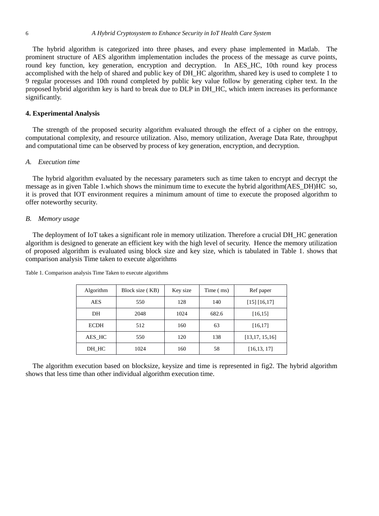The hybrid algorithm is categorized into three phases, and every phase implemented in Matlab. The prominent structure of AES algorithm implementation includes the process of the message as curve points, round key function, key generation, encryption and decryption. In AES\_HC, 10th round key process accomplished with the help of shared and public key of DH\_HC algorithm, shared key is used to complete 1 to 9 regular processes and 10th round completed by public key value follow by generating cipher text. In the proposed hybrid algorithm key is hard to break due to DLP in DH\_HC, which intern increases its performance significantly.

#### **4. Experimental Analysis**

The strength of the proposed security algorithm evaluated through the effect of a cipher on the entropy, computational complexity, and resource utilization. Also, memory utilization, Average Data Rate, throughput and computational time can be observed by process of key generation, encryption, and decryption.

## *A. Execution time*

The hybrid algorithm evaluated by the necessary parameters such as time taken to encrypt and decrypt the message as in given Table 1.which shows the minimum time to execute the hybrid algorithm(AES\_DH)HC so, it is proved that IOT environment requires a minimum amount of time to execute the proposed algorithm to offer noteworthy security.

## *B. Memory usage*

The deployment of IoT takes a significant role in memory utilization. Therefore a crucial DH\_HC generation algorithm is designed to generate an efficient key with the high level of security. Hence the memory utilization of proposed algorithm is evaluated using block size and key size, which is tabulated in Table 1. shows that comparison analysis Time taken to execute algorithms

| Algorithm   | Block size (KB) | Key size | Time (ms) | Ref paper        |
|-------------|-----------------|----------|-----------|------------------|
| AES         | 550             | 128      | 140       | [15] [16, 17]    |
| DH          | 2048            | 1024     | 682.6     | [16, 15]         |
| <b>ECDH</b> | 512             | 160      | 63        | [16, 17]         |
| AES HC      | 550             | 120      | 138       | [13, 17, 15, 16] |
| DH HC       | 1024            | 160      | 58        | [16, 13, 17]     |

Table 1. Comparison analysis Time Taken to execute algorithms

The algorithm execution based on blocksize, keysize and time is represented in fig2. The hybrid algorithm shows that less time than other individual algorithm execution time.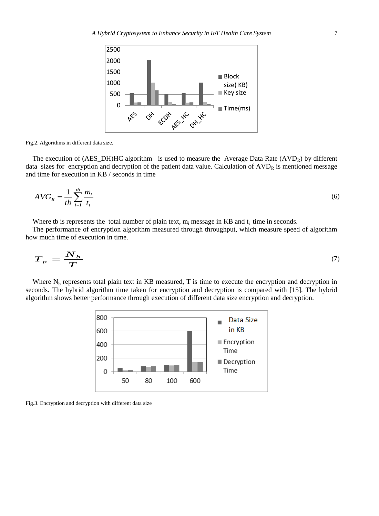

Fig.2. Algorithms in different data size.

The execution of  $(AES\_DH)HC$  algorithm is used to measure the Average Data Rate  $(AVD<sub>R</sub>)$  by different data sizes for encryption and decryption of the patient data value. Calculation of  $AVD<sub>R</sub>$  is mentioned message and time for execution in KB / seconds in time

$$
AVG_R = \frac{1}{tb} \sum_{i=1}^{tb} \frac{m_i}{t_i} \tag{6}
$$

Where tb is represents the total number of plain text,  $m_i$  message in KB and  $t_i$  time in seconds.

The performance of encryption algorithm measured through throughput, which measure speed of algorithm how much time of execution in time.

$$
T_{p} = \frac{N_{b}}{T}
$$
 (7)

Where  $N_b$  represents total plain text in KB measured, T is time to execute the encryption and decryption in seconds. The hybrid algorithm time taken for encryption and decryption is compared with [15]. The hybrid algorithm shows better performance through execution of different data size encryption and decryption.



Fig.3. Encryption and decryption with different data size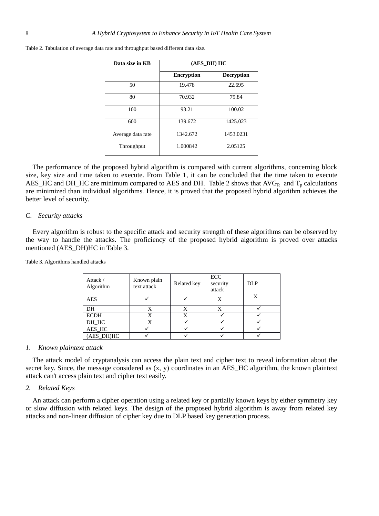| Data size in KB   | (AES DH) HC       |                   |  |  |
|-------------------|-------------------|-------------------|--|--|
|                   | <b>Encryption</b> | <b>Decryption</b> |  |  |
| 50                | 19.478            | 22.695            |  |  |
| 80                | 70.932            | 79.84             |  |  |
| 100               | 93.21             | 100.02            |  |  |
| 600               | 139.672           | 1425.023          |  |  |
| Average data rate | 1342.672          | 1453.0231         |  |  |
| Throughput        | 1.000842          | 2.05125           |  |  |

Table 2. Tabulation of average data rate and throughput based different data size.

The performance of the proposed hybrid algorithm is compared with current algorithms, concerning block size, key size and time taken to execute. From Table 1, it can be concluded that the time taken to execute AES\_HC and DH\_HC are minimum compared to AES and DH. Table 2 shows that  $AVG_R$  and  $T_p$  calculations are minimized than individual algorithms. Hence, it is proved that the proposed hybrid algorithm achieves the better level of security.

#### *C. Security attacks*

Every algorithm is robust to the specific attack and security strength of these algorithms can be observed by the way to handle the attacks. The proficiency of the proposed hybrid algorithm is proved over attacks mentioned (AES\_DH)HC in Table 3.

Table 3. Algorithms handled attacks

| Attack /<br>Algorithm | Known plain<br>text attack | Related key | ECC<br>security<br>attack | <b>DLP</b> |
|-----------------------|----------------------------|-------------|---------------------------|------------|
| <b>AES</b>            |                            |             | X                         | X          |
| DH                    |                            |             |                           |            |
| <b>ECDH</b>           | X                          | X           |                           |            |
| DH HC                 |                            |             |                           |            |
| AES_HC                |                            |             |                           |            |
| (AES_DH)HC            |                            |             |                           |            |

#### *1. Known plaintext attack*

The attack model of cryptanalysis can access the plain text and cipher text to reveal information about the secret key. Since, the message considered as  $(x, y)$  coordinates in an AES\_HC algorithm, the known plaintext attack can't access plain text and cipher text easily.

# *2. Related Keys*

An attack can perform a cipher operation using a related key or partially known keys by either symmetry key or slow diffusion with related keys. The design of the proposed hybrid algorithm is away from related key attacks and non-linear diffusion of cipher key due to DLP based key generation process.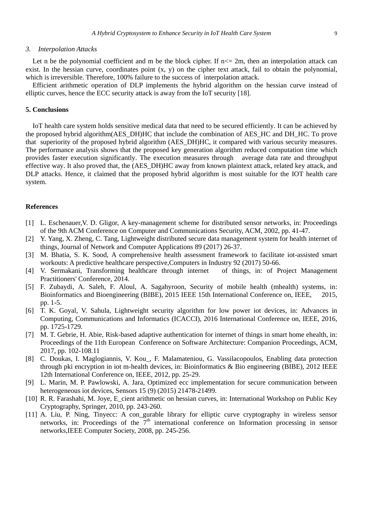#### *3. Interpolation Attacks*

Let n be the polynomial coefficient and m be the block cipher. If  $n \le 2m$ , then an interpolation attack can exist. In the hessian curve, coordinates point  $(x, y)$  on the cipher text attack, fail to obtain the polynomial, which is irreversible. Therefore, 100% failure to the success of interpolation attack.

Efficient arithmetic operation of DLP implements the hybrid algorithm on the hessian curve instead of elliptic curves, hence the ECC security attack is away from the IoT security [18].

#### **5. Conclusions**

IoT health care system holds sensitive medical data that need to be secured efficiently. It can be achieved by the proposed hybrid algorithm(AES\_DH)HC that include the combination of AES\_HC and DH\_HC. To prove that superiority of the proposed hybrid algorithm (AES\_DH)HC, it compared with various security measures. The performance analysis shows that the proposed key generation algorithm reduced computation time which provides faster execution significantly. The execution measures through average data rate and throughput effective way. It also proved that, the (AES\_DH)HC away from known plaintext attack, related key attack, and DLP attacks. Hence, it claimed that the proposed hybrid algorithm is most suitable for the IOT health care system.

## **References**

- [1] L. Eschenauer,V. D. Gligor, A key-management scheme for distributed sensor networks, in: Proceedings of the 9th ACM Conference on Computer and Communications Security, ACM, 2002, pp. 41-47.
- [2] Y. Yang, X. Zheng, C. Tang, Lightweight distributed secure data management system for health internet of things, Journal of Network and Computer Applications 89 (2017) 26-37.
- [3] M. Bhatia, S. K. Sood, A comprehensive health assessment framework to facilitate iot-assisted smart workouts: A predictive healthcare perspective,Computers in Industry 92 (2017) 50-66.
- [4] V. Sermakani, Transforming healthcare through internet of things, in: of Project Management Practitioners' Conference, 2014.
- [5] F. Zubaydi, A. Saleh, F. Aloul, A. Sagahyroon, Security of mobile health (mhealth) systems, in: Bioinformatics and Bioengineering (BIBE), 2015 IEEE 15th International Conference on, IEEE, 2015, pp. 1-5.
- [6] T. K. Goyal, V. Sahula, Lightweight security algorithm for low power iot devices, in: Advances in Computing, Communications and Informatics (ICACCI), 2016 International Conference on, IEEE, 2016, pp. 1725-1729.
- [7] M. T. Gebrie, H. Abie, Risk-based adaptive authentication for internet of things in smart home ehealth, in: Proceedings of the 11th European Conference on Software Architecture: Companion Proceedings, ACM, 2017, pp. 102-108.11
- [8] C. Doukas, I. Maglogiannis, V. Kou\_, F. Malamateniou, G. Vassilacopoulos, Enabling data protection through pki encryption in iot m-health devices, in: Bioinformatics & Bio engineering (BIBE), 2012 IEEE 12th International Conference on, IEEE, 2012, pp. 25-29.
- [9] L. Marin, M. P. Pawlowski, A. Jara, Optimized ecc implementation for secure communication between heterogeneous iot devices, Sensors 15 (9) (2015) 21478-21499.
- [10] R. R. Farashahi, M. Joye, E\_cient arithmetic on hessian curves, in: International Workshop on Public Key Cryptography, Springer, 2010, pp. 243-260.
- [11] A. Liu, P. Ning, Tinyecc: A con\_gurable library for elliptic curve cryptography in wireless sensor networks, in: Proceedings of the  $7<sup>th</sup>$  international conference on Information processing in sensor networks,IEEE Computer Society, 2008, pp. 245-256.